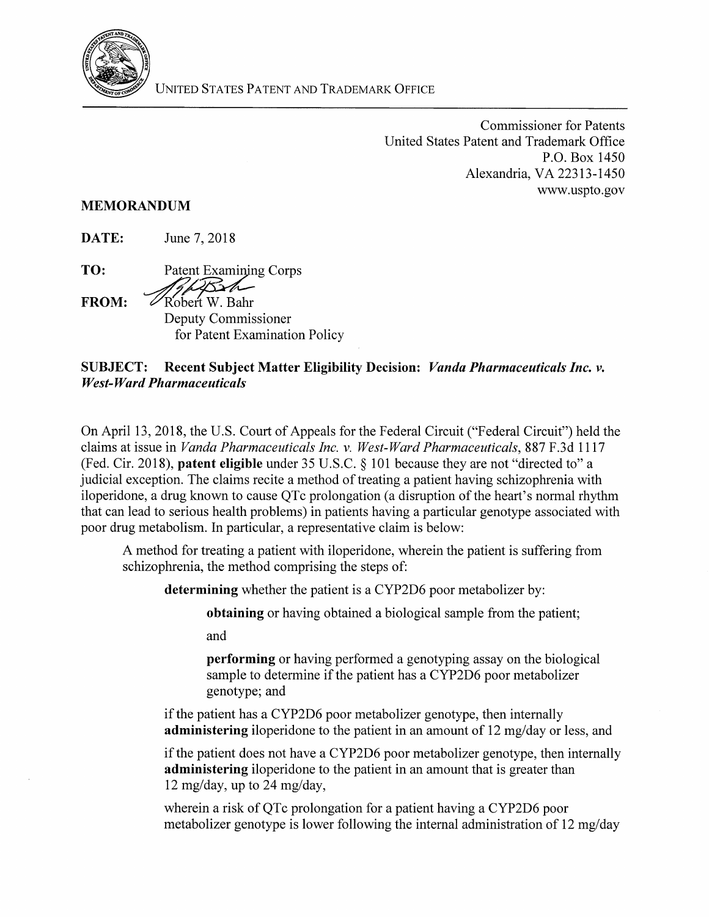

Commissioner for Patents United States Patent and Trademark Office P.O. Box 1450 Alexandria, VA 22313-1450 www.uspto.gov

## MEMORANDUM

DATE: June 7, 2018

TO: Patent Examining Corps

 $FROM:$   $\mathscr{D}$ Robert W. Bahr Deputy Commissioner for Patent Examination Policy

## SUBJECT: Recent Subject Matter Eligibility Decision: *Vanda Pharmaceuticals Inc. v. West-Ward Pharmaceuticals*

On April 13, 2018, the U.S. Court of Appeals for the Federal Circuit ("Federal Circuit") held the claims at issue in *Vanda Pharmaceuticals Inc. v. West-Ward Pharmaceuticals,* 887 F.3d 1117 (Fed. Cir. 2018), patent eligible under 35 U.S.C. § 101 because they are not "directed to" a judicial exception. The claims recite a method of treating a patient having schizophrenia with iloperidone, a drug known to cause QTc prolongation (a disruption of the heart's normal rhythm that can lead to serious health problems) in patients having a particular genotype associated with poor drug metabolism. In particular, a representative claim is below:

A method for treating a patient with iloperidone, wherein the patient is suffering from schizophrenia, the method comprising the steps of:

determining whether the patient is a CYP2D6 poor metabolizer by:

obtaining or having obtained a biological sample from the patient;

and

performing or having performed a genotyping assay on the biological sample to determine if the patient has a CYP2D6 poor metabolizer genotype; and

if the patient has a CYP2D6 poor metabolizer genotype, then internally administering iloperidone to the patient in an amount of 12 mg/day or less, and

if the patient does not have a CYP2D6 poor metabolizer genotype, then internally administering iloperidone to the patient in an amount that is greater than 12 mg/day, up to 24 mg/day,

wherein a risk of QTc prolongation for a patient having a CYP2D6 poor metabolizer genotype is lower following the internal administration of 12 mg/day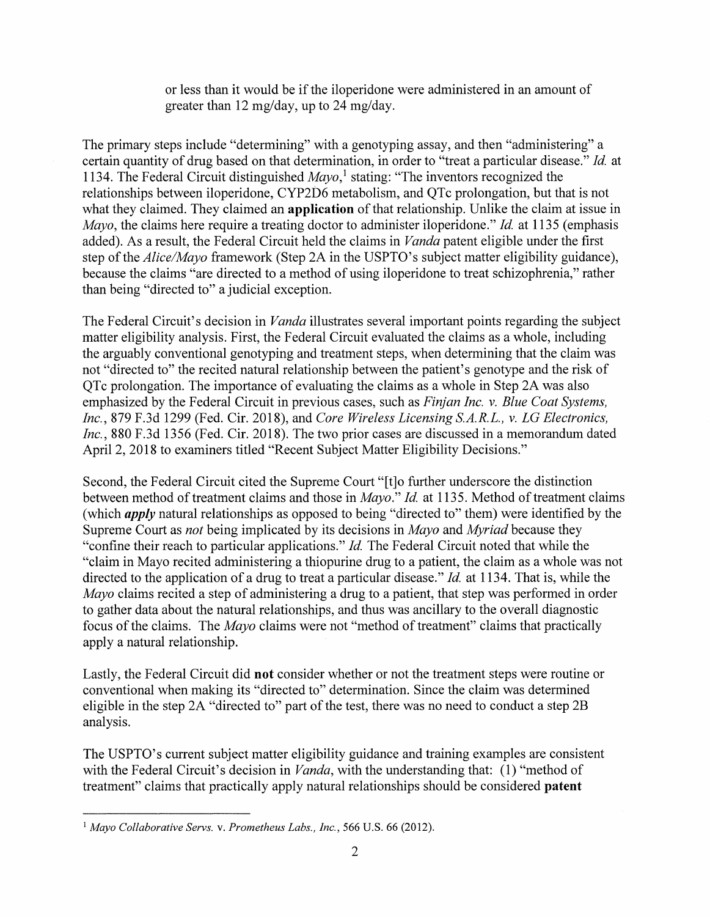or less than it would be if the iloperidone were administered in an amount of greater than 12 mg/day, up to 24 mg/day.

The primary steps include "determining" with a genotyping assay, and then "administering" a certain quantity of drug based on that determination, in order to "treat a particular disease." *Id.* at 1134. The Federal Circuit distinguished *Mayo,* 1 stating: "The inventors recognized the relationships between iloperidone, CYP2D6 metabolism, and QTc prolongation, but that is not what they claimed. They claimed an **application** of that relationship. Unlike the claim at issue in *Mayo,* the claims here require a treating doctor to administer iloperidone." *Id.* at 1135 (emphasis added). As a result, the Federal Circuit held the claims in *Vanda* patent eligible under the first step of the *Alice/Mayo* framework (Step 2A in the USPTO's subject matter eligibility guidance), because the claims "are directed to a method of using iloperidone to treat schizophrenia," rather than being "directed to" a judicial exception.

The Federal Circuit's decision in *Vanda* illustrates several important points regarding the subject matter eligibility analysis. First, the Federal Circuit evaluated the claims as a whole, including the arguably conventional genotyping and treatment steps, when determining that the claim was not "directed to" the recited natural relationship between the patient's genotype and the risk of QTc prolongation. The importance of evaluating the claims as a whole in Step 2A was also emphasized by the Federal Circuit in previous cases, such as *Finjan Inc. v. Blue Coat Systems, Inc.,* 879 F.3d 1299 (Fed. Cir. 2018), and *Core Wireless Licensing S.A.R.L., v. LG Electronics, Inc.,* 880 F.3d 1356 (Fed. Cir. 2018). The two prior cases are discussed in a memorandum dated April 2, 2018 to examiners titled "Recent Subject Matter Eligibility Decisions."

Second, the Federal Circuit cited the Supreme Court "[t]o further underscore the distinction between method of treatment claims and those in *Mayo." Id.* at 1135. Method of treatment claims (which *apply* natural relationships as opposed to being "directed to" them) were identified by the Supreme Court as *not* being implicated by its decisions in *Mayo* and *Myriad* because they "confine their reach to particular applications." *Id.* The Federal Circuit noted that while the "claim in Mayo recited administering a thiopurine drug to a patient, the claim as a whole was not directed to the application of a drug to treat a particular disease." *Id.* at 1134. That is, while the *Mayo* claims recited a step of administering a drug to a patient, that step was performed in order to gather data about the natural relationships, and thus was ancillary to the overall diagnostic focus of the claims. The *Mayo* claims were not "method of treatment" claims that practically apply a natural relationship.

Lastly, the Federal Circuit did **not** consider whether or not the treatment steps were routine or conventional when making its "directed to" determination. Since the claim was determined eligible in the step 2A "directed to" part of the test, there was no need to conduct a step 2B analysis.

The USPTO's current subject matter eligibility guidance and training examples are consistent with the Federal Circuit's decision in *Vanda*, with the understanding that: (1) "method of treatment" claims that practically apply natural relationships should be considered **patent** 

<sup>1</sup>*Mayo Collaborative Servs.* v. *Prometheus Labs., Inc.,* 566 U.S. 66 (2012).